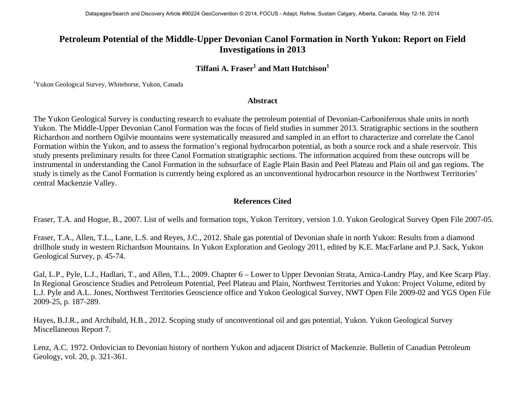## **Petroleum Potential of the Middle-Upper Devonian Canol Formation in North Yukon: Report on Field Investigations in 2013**

## **Tiffani A. Fraser<sup>1</sup> and Matt Hutchison<sup>1</sup>**

<sup>1</sup>Yukon Geological Survey, Whitehorse, Yukon, Canada

## **Abstract**

The Yukon Geological Survey is conducting research to evaluate the petroleum potential of Devonian-Carboniferous shale units in north Yukon. The Middle-Upper Devonian Canol Formation was the focus of field studies in summer 2013. Stratigraphic sections in the southern Richardson and northern Ogilvie mountains were systematically measured and sampled in an effort to characterize and correlate the Canol Formation within the Yukon, and to assess the formation's regional hydrocarbon potential, as both a source rock and a shale reservoir. This study presents preliminary results for three Canol Formation stratigraphic sections. The information acquired from these outcrops will be instrumental in understanding the Canol Formation in the subsurface of Eagle Plain Basin and Peel Plateau and Plain oil and gas regions. The study is timely as the Canol Formation is currently being explored as an unconventional hydrocarbon resource in the Northwest Territories' central Mackenzie Valley.

## **References Cited**

Fraser, T.A. and Hogue, B., 2007. List of wells and formation tops, Yukon Territory, version 1.0. Yukon Geological Survey Open File 2007-05.

Fraser, T.A., Allen, T.L., Lane, L.S. and Reyes, J.C., 2012. Shale gas potential of Devonian shale in north Yukon: Results from a diamond drillhole study in western Richardson Mountains. In Yukon Exploration and Geology 2011, edited by K.E. MacFarlane and P.J. Sack, Yukon Geological Survey, p. 45-74.

Gal, L.P., Pyle, L.J., Hadlari, T., and Allen, T.L., 2009. Chapter 6 – Lower to Upper Devonian Strata, Arnica-Landry Play, and Kee Scarp Play. In Regional Geoscience Studies and Petroleum Potential, Peel Plateau and Plain, Northwest Territories and Yukon: Project Volume, edited by L.J. Pyle and A.L. Jones, Northwest Territories Geoscience office and Yukon Geological Survey, NWT Open File 2009-02 and YGS Open File 2009-25, p. 187-289.

Hayes, B.J.R., and Archibald, H.B., 2012. Scoping study of unconventional oil and gas potential, Yukon. Yukon Geological Survey Miscellaneous Report 7.

Lenz, A.C. 1972. Ordovician to Devonian history of northern Yukon and adjacent District of Mackenzie. Bulletin of Canadian Petroleum Geology, vol. 20, p. 321-361.